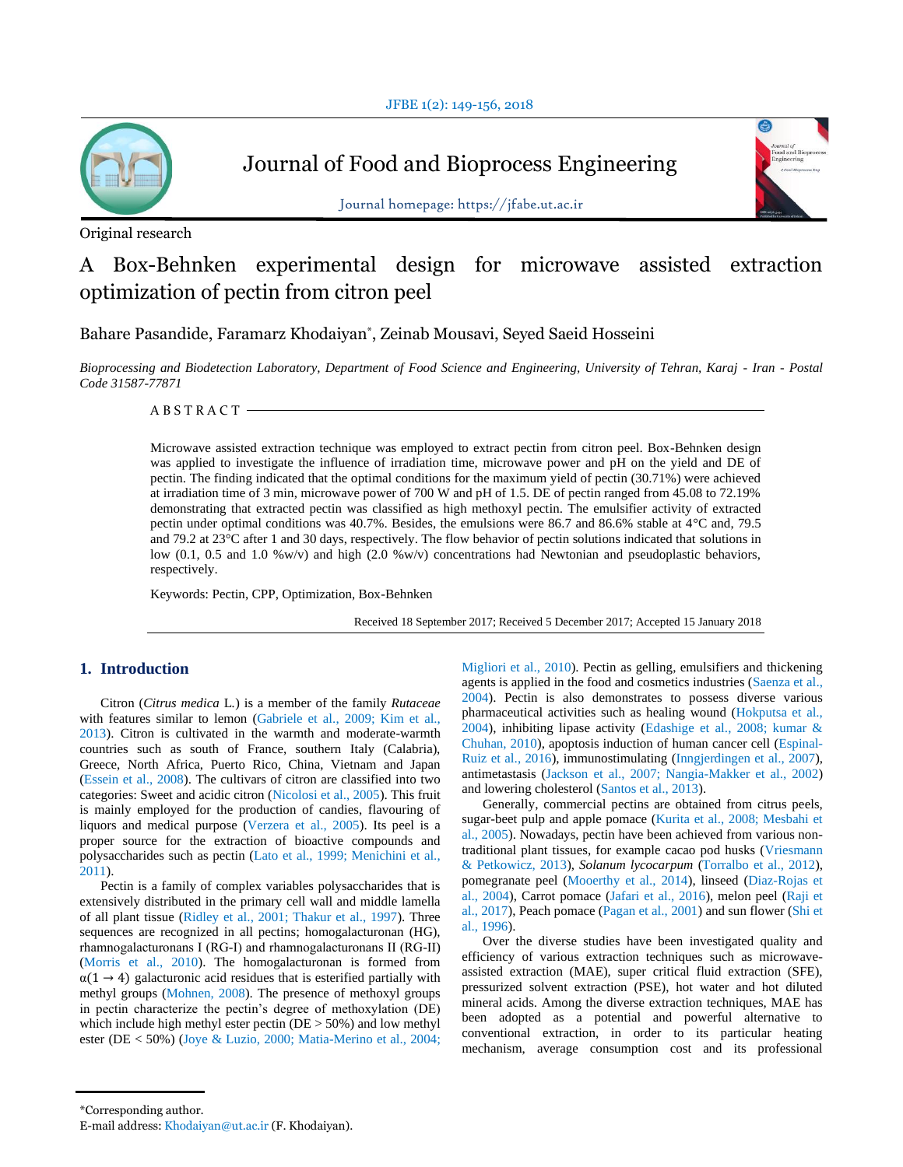

Journal of Food and Bioprocess Engineering



Journal homepage: https://jfabe.ut.ac.ir

# Original research

# A Box-Behnken experimental design for microwave assisted extraction optimization of pectin from citron peel

Bahare Pasandide, Faramarz Khodaiyan\* , Zeinab Mousavi, Seyed Saeid Hosseini

*Bioprocessing and Biodetection Laboratory, Department of Food Science and Engineering, University of Tehran, Karaj - Iran - Postal Code 31587-77871*

A B S T R A C T

Microwave assisted extraction technique was employed to extract pectin from citron peel. Box-Behnken design was applied to investigate the influence of irradiation time, microwave power and pH on the yield and DE of pectin. The finding indicated that the optimal conditions for the maximum yield of pectin (30.71%) were achieved at irradiation time of 3 min, microwave power of 700 W and pH of 1.5. DE of pectin ranged from 45.08 to 72.19% demonstrating that extracted pectin was classified as high methoxyl pectin. The emulsifier activity of extracted pectin under optimal conditions was 40.7%. Besides, the emulsions were 86.7 and 86.6% stable at 4°C and, 79.5 and 79.2 at 23°C after 1 and 30 days, respectively. The flow behavior of pectin solutions indicated that solutions in low (0.1, 0.5 and 1.0 %w/v) and high (2.0 %w/v) concentrations had Newtonian and pseudoplastic behaviors, respectively.

Keywords: Pectin, CPP, Optimization, Box-Behnken

Received 18 September 2017; Received 5 December 2017; Accepted 15 January 2018

# **1. Introduction**

Citron (*Citrus medica* L*.*) is a member of the family *Rutaceae* with features similar to lemon (Gabriele et al., 2009; Kim et al., 2013). Citron is cultivated in the warmth and moderate-warmth countries such as south of France, southern Italy (Calabria), Greece, North Africa, Puerto Rico, China, Vietnam and Japan (Essein et al., 2008). The cultivars of citron are classified into two categories: Sweet and acidic citron (Nicolosi et al., 2005). This fruit is mainly employed for the production of candies, flavouring of liquors and medical purpose (Verzera et al., 2005). Its peel is a proper source for the extraction of bioactive compounds and polysaccharides such as pectin (Lato et al., 1999; Menichini et al., 2011).

Pectin is a family of complex variables polysaccharides that is extensively distributed in the primary cell wall and middle lamella of all plant tissue (Ridley et al., 2001; Thakur et al., 1997). Three sequences are recognized in all pectins; homogalacturonan (HG), rhamnogalacturonans І (RG-І) and rhamnogalacturonans II (RG-II) (Morris et al., 2010). The homogalacturonan is formed from  $\alpha(1 \rightarrow 4)$  galacturonic acid residues that is esterified partially with methyl groups (Mohnen, 2008). The presence of methoxyl groups in pectin characterize the pectin's degree of methoxylation (DE) which include high methyl ester pectin (DE > 50%) and low methyl ester (DE < 50%) (Joye & Luzio, 2000; Matia-Merino et al., 2004; Migliori et al., 2010). Pectin as gelling, emulsifiers and thickening agents is applied in the food and cosmetics industries (Saenza et al., 2004). Pectin is also demonstrates to possess diverse various pharmaceutical activities such as healing wound (Hokputsa et al., 2004), inhibiting lipase activity (Edashige et al., 2008; kumar & Chuhan, 2010), apoptosis induction of human cancer cell (Espinal-Ruiz et al., 2016), immunostimulating (Inngjerdingen et al., 2007), antimetastasis (Jackson et al., 2007; Nangia-Makker et al., 2002) and lowering cholesterol (Santos et al., 2013).

Generally, commercial pectins are obtained from citrus peels, sugar-beet pulp and apple pomace (Kurita et al., 2008; Mesbahi et al., 2005). Nowadays, pectin have been achieved from various nontraditional plant tissues, for example cacao pod husks (Vriesmann & Petkowicz, 2013), *Solanum lycocarpum* (Torralbo et al., 2012), pomegranate peel (Mooerthy et al., 2014), linseed (Diaz-Rojas et al., 2004), Carrot pomace (Jafari et al., 2016), melon peel (Raji et al., 2017), Peach pomace (Pagan et al., 2001) and sun flower (Shi et al., 1996).

Over the diverse studies have been investigated quality and efficiency of various extraction techniques such as microwaveassisted extraction (MAE), super critical fluid extraction (SFE), pressurized solvent extraction (PSE), hot water and hot diluted mineral acids. Among the diverse extraction techniques, MAE has been adopted as a potential and powerful alternative to conventional extraction, in order to its particular heating mechanism, average consumption cost and its professional

<sup>\*</sup>Corresponding author.

E-mail address: Khodaiyan@ut.ac.ir (F. Khodaiyan).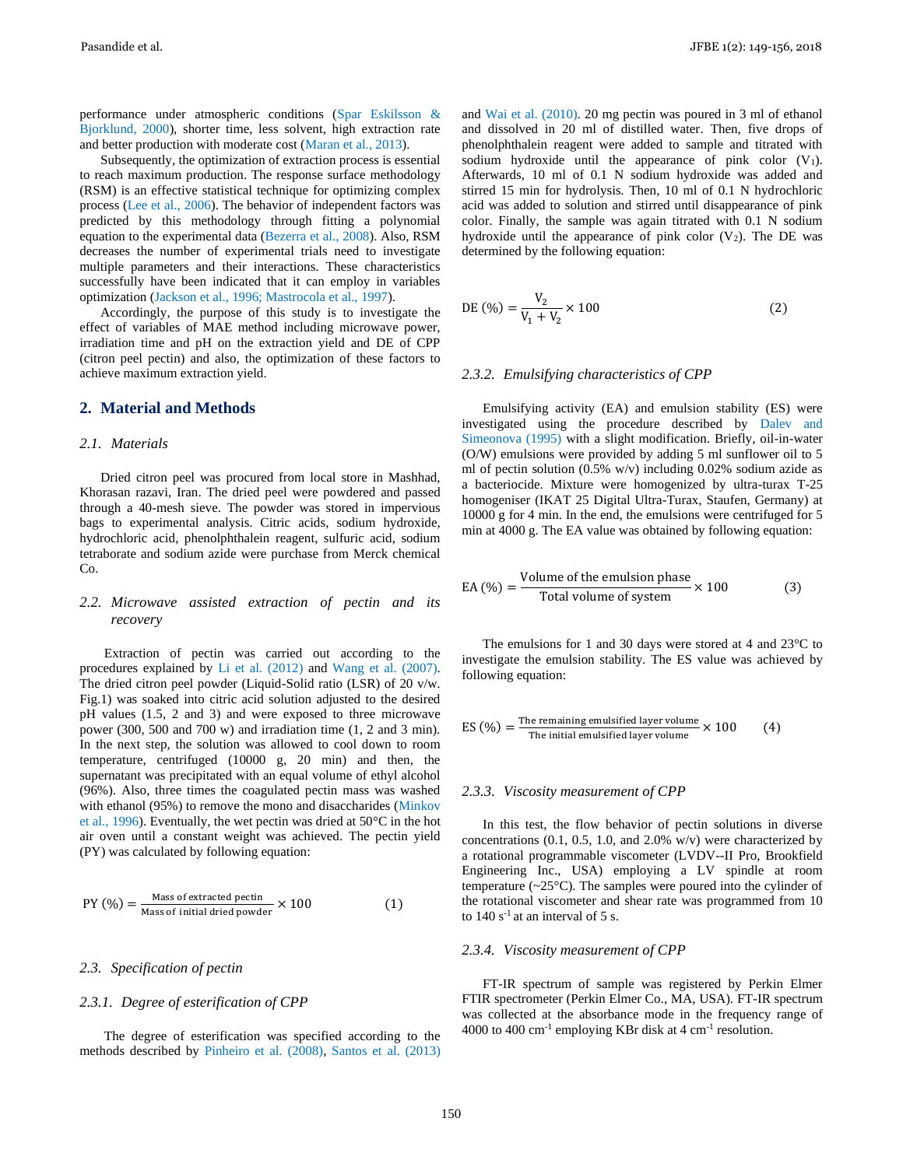performance under atmospheric conditions (Spar Eskilsson & Bjorklund, 2000), shorter time, less solvent, high extraction rate and better production with moderate cost (Maran et al., 2013).

Subsequently, the optimization of extraction process is essential to reach maximum production. The response surface methodology (RSM) is an effective statistical technique for optimizing complex process (Lee et al., 2006). The behavior of independent factors was predicted by this methodology through fitting a polynomial equation to the experimental data (Bezerra et al., 2008). Also, RSM decreases the number of experimental trials need to investigate multiple parameters and their interactions. These characteristics successfully have been indicated that it can employ in variables optimization (Jackson et al., 1996; Mastrocola et al., 1997).

Accordingly, the purpose of this study is to investigate the effect of variables of MAE method including microwave power, irradiation time and pH on the extraction yield and DE of CPP (citron peel pectin) and also, the optimization of these factors to achieve maximum extraction yield.

### **2. Material and Methods**

### *2.1. Materials*

Dried citron peel was procured from local store in Mashhad, Khorasan razavi, Iran. The dried peel were powdered and passed through a 40-mesh sieve. The powder was stored in impervious bags to experimental analysis. Citric acids, sodium hydroxide, hydrochloric acid, phenolphthalein reagent, sulfuric acid, sodium tetraborate and sodium azide were purchase from Merck chemical Co.

# *2.2. Microwave assisted extraction of pectin and its recovery*

Extraction of pectin was carried out according to the procedures explained by Li et al. (2012) and Wang et al. (2007). The dried citron peel powder (Liquid-Solid ratio (LSR) of 20 v/w. Fig.1) was soaked into citric acid solution adjusted to the desired pH values (1.5, 2 and 3) and were exposed to three microwave power (300, 500 and 700 w) and irradiation time (1, 2 and 3 min). In the next step, the solution was allowed to cool down to room temperature, centrifuged (10000 g, 20 min) and then, the supernatant was precipitated with an equal volume of ethyl alcohol (96%). Also, three times the coagulated pectin mass was washed with ethanol (95%) to remove the mono and disaccharides (Minkov et al., 1996). Eventually, the wet pectin was dried at 50°C in the hot air oven until a constant weight was achieved. The pectin yield (PY) was calculated by following equation:

$$
PY (\%) = \frac{\text{Mass of extracted pectin}}{\text{Mass of initial dried powder}} \times 100
$$
 (1)

### *2.3. Specification of pectin*

# *2.3.1. Degree of esterification of CPP*

The degree of esterification was specified according to the methods described by Pinheiro et al. (2008), Santos et al. (2013) and Wai et al. (2010). 20 mg pectin was poured in 3 ml of ethanol and dissolved in 20 ml of distilled water. Then, five drops of phenolphthalein reagent were added to sample and titrated with sodium hydroxide until the appearance of pink color  $(V_1)$ . Afterwards, 10 ml of 0.1 N sodium hydroxide was added and stirred 15 min for hydrolysis. Then, 10 ml of 0.1 N hydrochloric acid was added to solution and stirred until disappearance of pink color. Finally, the sample was again titrated with 0.1 N sodium hydroxide until the appearance of pink color  $(V_2)$ . The DE was determined by the following equation:

DE 
$$
(\%) = \frac{V_2}{V_1 + V_2} \times 100
$$
 (2)

# *2.3.2. Emulsifying characteristics of CPP*

Emulsifying activity (EA) and emulsion stability (ES) were investigated using the procedure described by Dalev and Simeonova (1995) with a slight modification. Briefly, oil-in-water (O/W) emulsions were provided by adding 5 ml sunflower oil to 5 ml of pectin solution (0.5% w/v) including 0.02% sodium azide as a bacteriocide. Mixture were homogenized by ultra-turax T-25 homogeniser (IKAT 25 Digital Ultra-Turax, Staufen, Germany) at 10000 g for 4 min. In the end, the emulsions were centrifuged for 5 min at 4000 g. The EA value was obtained by following equation:

$$
EA (%) = \frac{Volume of the emulsion phase}{Total volume of system} \times 100
$$
 (3)

The emulsions for 1 and 30 days were stored at 4 and 23°C to investigate the emulsion stability. The ES value was achieved by following equation:

ES 
$$
(\%) = \frac{\text{The remaining emulsified layer volume}}{\text{The initial emulsified layer volume}} \times 100
$$
 (4)

#### *2.3.3. Viscosity measurement of CPP*

In this test, the flow behavior of pectin solutions in diverse concentrations  $(0.1, 0.5, 1.0, \text{ and } 2.0\% \text{ w/v})$  were characterized by a rotational programmable viscometer (LVDV--II Pro, Brookfield Engineering Inc., USA) employing a LV spindle at room temperature  $(\sim 25^{\circ}C)$ . The samples were poured into the cylinder of the rotational viscometer and shear rate was programmed from 10 to  $140 s<sup>-1</sup>$  at an interval of 5 s.

### *2.3.4. Viscosity measurement of CPP*

FT-IR spectrum of sample was registered by Perkin Elmer FTIR spectrometer (Perkin Elmer Co., MA, USA). FT-IR spectrum was collected at the absorbance mode in the frequency range of 4000 to 400  $\text{cm}^{-1}$  employing KBr disk at 4  $\text{cm}^{-1}$  resolution.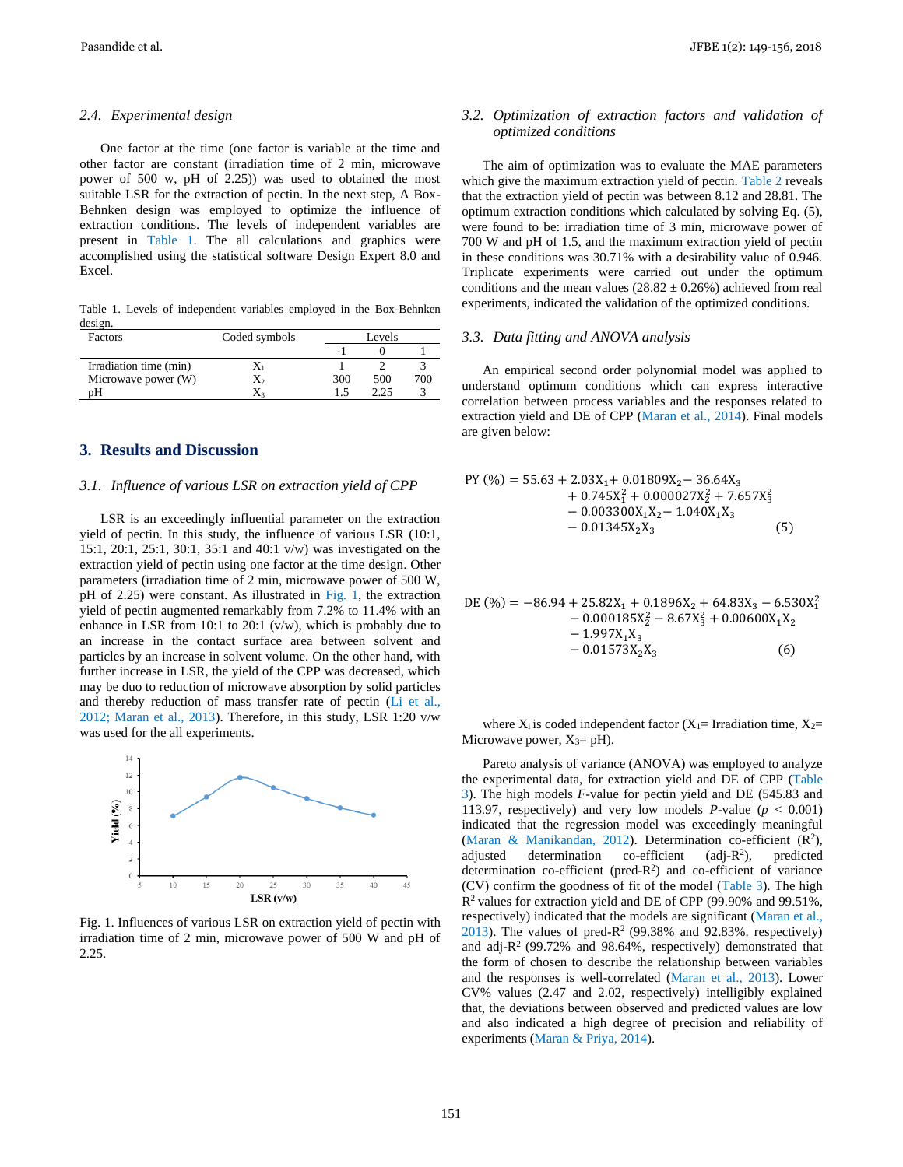#### *2.4. Experimental design*

One factor at the time (one factor is variable at the time and other factor are constant (irradiation time of 2 min, microwave power of 500 w, pH of 2.25)) was used to obtained the most suitable LSR for the extraction of pectin. In the next step, A Box-Behnken design was employed to optimize the influence of extraction conditions. The levels of independent variables are present in Table 1. The all calculations and graphics were accomplished using the statistical software Design Expert 8.0 and Excel.

Table 1. Levels of independent variables employed in the Box-Behnken design.

| Factors                | Coded symbols |     | Levels |     |  |
|------------------------|---------------|-----|--------|-----|--|
|                        |               | - 1 |        |     |  |
| Irradiation time (min) | Δı            |     |        |     |  |
| Microwave power (W)    | X2            | 300 | 500    | 700 |  |
| nН                     |               |     | າ າ ຈ  |     |  |

# **3. Results and Discussion**

# *3.1. Influence of various LSR on extraction yield of CPP*

LSR is an exceedingly influential parameter on the extraction yield of pectin. In this study, the influence of various LSR (10:1, 15:1, 20:1, 25:1, 30:1, 35:1 and 40:1 v/w) was investigated on the extraction yield of pectin using one factor at the time design. Other parameters (irradiation time of 2 min, microwave power of 500 W, pH of 2.25) were constant. As illustrated in Fig. 1, the extraction yield of pectin augmented remarkably from 7.2% to 11.4% with an enhance in LSR from 10:1 to 20:1 (v/w), which is probably due to an increase in the contact surface area between solvent and particles by an increase in solvent volume. On the other hand, with further increase in LSR, the yield of the CPP was decreased, which may be duo to reduction of microwave absorption by solid particles and thereby reduction of mass transfer rate of pectin (Li et al., 2012; Maran et al., 2013). Therefore, in this study, LSR 1:20 v/w was used for the all experiments.



Fig. 1. Influences of various LSR on extraction yield of pectin with irradiation time of 2 min, microwave power of 500 W and pH of 2.25.

# *3.2. Optimization of extraction factors and validation of optimized conditions*

The aim of optimization was to evaluate the MAE parameters which give the maximum extraction yield of pectin. Table 2 reveals that the extraction yield of pectin was between 8.12 and 28.81. The optimum extraction conditions which calculated by solving Eq. (5), were found to be: irradiation time of 3 min, microwave power of 700 W and pH of 1.5, and the maximum extraction yield of pectin in these conditions was 30.71% with a desirability value of 0.946. Triplicate experiments were carried out under the optimum conditions and the mean values  $(28.82 \pm 0.26%)$  achieved from real experiments, indicated the validation of the optimized conditions.

### *3.3. Data fitting and ANOVA analysis*

An empirical second order polynomial model was applied to understand optimum conditions which can express interactive correlation between process variables and the responses related to extraction yield and DE of CPP (Maran et al., 2014). Final models are given below:

$$
PY (\%) = 55.63 + 2.03X_1 + 0.01809X_2 - 36.64X_3 + 0.745X_1^2 + 0.000027X_2^2 + 7.657X_3^2 - 0.003300X_1X_2 - 1.040X_1X_3 - 0.01345X_2X_3
$$
 (5)

$$
DE (\%) = -86.94 + 25.82X_1 + 0.1896X_2 + 64.83X_3 - 6.530X_1^2 - 0.000185X_2^2 - 8.67X_3^2 + 0.00600X_1X_2 - 1.997X_1X_3 - 0.01573X_2X_3
$$
 (6)

where  $X_i$  is coded independent factor  $(X_1=$  Irradiation time,  $X_2=$ Microwave power,  $X_3 = pH$ ).

Pareto analysis of variance (ANOVA) was employed to analyze the experimental data, for extraction yield and DE of CPP (Table 3). The high models *F*-value for pectin yield and DE (545.83 and 113.97, respectively) and very low models  $P$ -value ( $p < 0.001$ ) indicated that the regression model was exceedingly meaningful (Maran & Manikandan, 2012). Determination co-efficient  $(R^2)$ , adjusted determination co-efficient  $\text{(adj-R}^2)$ , ), predicted determination co-efficient (pred- $R<sup>2</sup>$ ) and co-efficient of variance (CV) confirm the goodness of fit of the model (Table 3). The high R<sup>2</sup>values for extraction yield and DE of CPP (99.90% and 99.51%, respectively) indicated that the models are significant (Maran et al.,  $2013$ ). The values of pred-R<sup>2</sup> (99.38% and 92.83%. respectively) and adj- $R^2$  (99.72% and 98.64%, respectively) demonstrated that the form of chosen to describe the relationship between variables and the responses is well-correlated (Maran et al., 2013). Lower CV% values (2.47 and 2.02, respectively) intelligibly explained that, the deviations between observed and predicted values are low and also indicated a high degree of precision and reliability of experiments (Maran & Priya, 2014).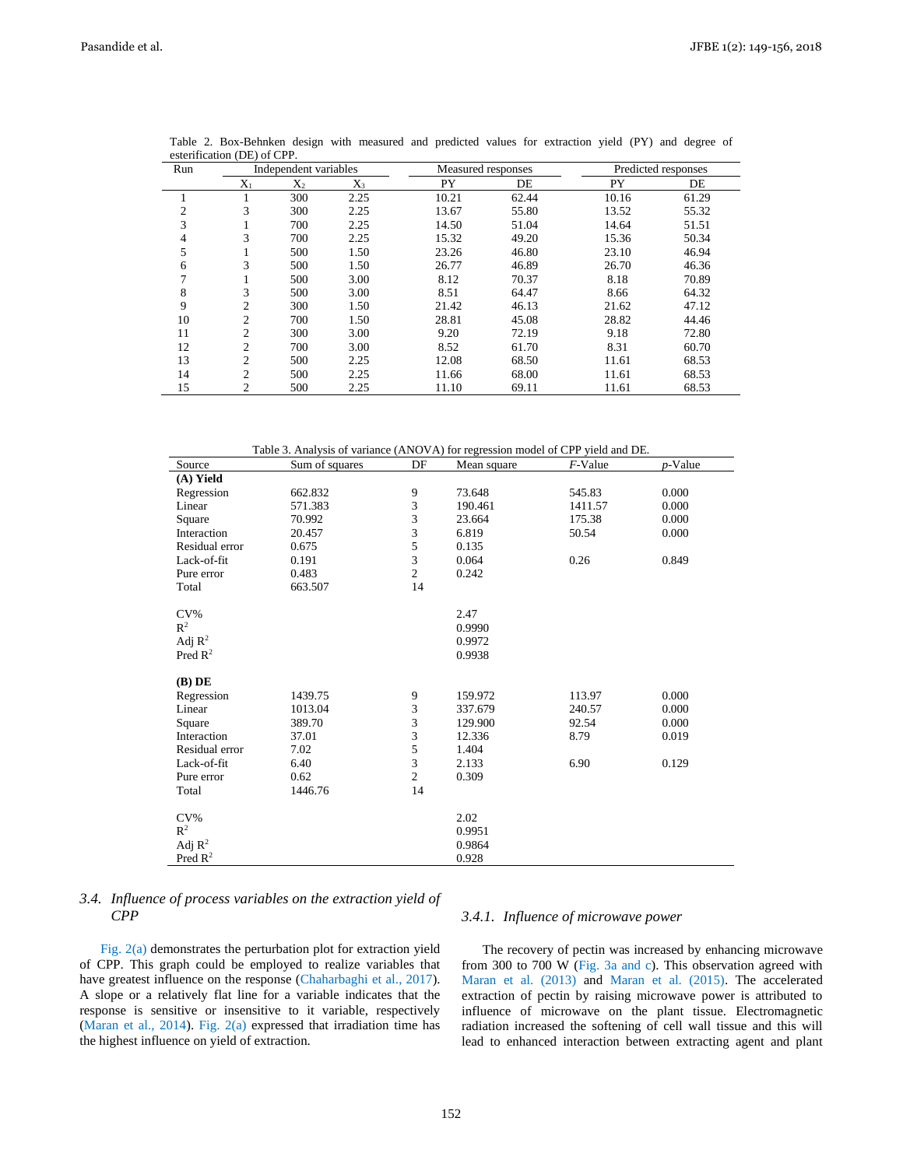| Run            |                | Independent variables |       | Measured responses |       |       | Predicted responses |
|----------------|----------------|-----------------------|-------|--------------------|-------|-------|---------------------|
|                | $X_1$          | $X_2$                 | $X_3$ | PY                 | DE    | PY    | DE                  |
|                |                | 300                   | 2.25  | 10.21              | 62.44 | 10.16 | 61.29               |
| $\overline{c}$ | 3              | 300                   | 2.25  | 13.67              | 55.80 | 13.52 | 55.32               |
| 3              | ı              | 700                   | 2.25  | 14.50              | 51.04 | 14.64 | 51.51               |
| 4              | 3              | 700                   | 2.25  | 15.32              | 49.20 | 15.36 | 50.34               |
| 5              | ı.             | 500                   | 1.50  | 23.26              | 46.80 | 23.10 | 46.94               |
| 6              | 3              | 500                   | 1.50  | 26.77              | 46.89 | 26.70 | 46.36               |
|                |                | 500                   | 3.00  | 8.12               | 70.37 | 8.18  | 70.89               |
| 8              | 3              | 500                   | 3.00  | 8.51               | 64.47 | 8.66  | 64.32               |
| 9              | 2              | 300                   | 1.50  | 21.42              | 46.13 | 21.62 | 47.12               |
| 10             | 2              | 700                   | 1.50  | 28.81              | 45.08 | 28.82 | 44.46               |
| 11             | 2              | 300                   | 3.00  | 9.20               | 72.19 | 9.18  | 72.80               |
| 12             | $\overline{2}$ | 700                   | 3.00  | 8.52               | 61.70 | 8.31  | 60.70               |
| 13             | $\overline{2}$ | 500                   | 2.25  | 12.08              | 68.50 | 11.61 | 68.53               |
| 14             | $\overline{c}$ | 500                   | 2.25  | 11.66              | 68.00 | 11.61 | 68.53               |
| 15             | 2              | 500                   | 2.25  | 11.10              | 69.11 | 11.61 | 68.53               |

Table 2. Box-Behnken design with measured and predicted values for extraction yield (PY) and degree of esterification (DE) of CPP.

| Table 3. Analysis of variance (ANOVA) for regression model of CPP yield and DE. |  |  |
|---------------------------------------------------------------------------------|--|--|
|                                                                                 |  |  |

| Source              | Sum of squares | DF             | Mean square | $F$ -Value | $p$ -Value |
|---------------------|----------------|----------------|-------------|------------|------------|
| (A) Yield           |                |                |             |            |            |
| Regression          | 662.832        | 9              | 73.648      | 545.83     | 0.000      |
| Linear              | 571.383        | 3              | 190.461     | 1411.57    | 0.000      |
| Square              | 70.992         | 3              | 23.664      | 175.38     | 0.000      |
| Interaction         | 20.457         | 3              | 6.819       | 50.54      | 0.000      |
| Residual error      | 0.675          | 5              | 0.135       |            |            |
| Lack-of-fit         | 0.191          | 3              | 0.064       | 0.26       | 0.849      |
| Pure error          | 0.483          | $\overline{2}$ | 0.242       |            |            |
| Total               | 663.507        | 14             |             |            |            |
|                     |                |                |             |            |            |
| $CV\%$              |                |                | 2.47        |            |            |
| $R^2$               |                |                | 0.9990      |            |            |
| Adj $\mathbb{R}^2$  |                |                | 0.9972      |            |            |
| Pred $\mathbb{R}^2$ |                |                | 0.9938      |            |            |
|                     |                |                |             |            |            |
| $(B)$ DE            |                |                |             |            |            |
| Regression          | 1439.75        | 9              | 159.972     | 113.97     | 0.000      |
| Linear              | 1013.04        | 3              | 337.679     | 240.57     | 0.000      |
| Square              | 389.70         | 3              | 129.900     | 92.54      | 0.000      |
| Interaction         | 37.01          | 3              | 12.336      | 8.79       | 0.019      |
| Residual error      | 7.02           | 5              | 1.404       |            |            |
| Lack-of-fit         | 6.40           | 3              | 2.133       | 6.90       | 0.129      |
| Pure error          | 0.62           | $\overline{c}$ | 0.309       |            |            |
| Total               | 1446.76        | 14             |             |            |            |
| $CV\%$              |                |                | 2.02        |            |            |
| $\mathbb{R}^2$      |                |                | 0.9951      |            |            |
| Adj $\mathbb{R}^2$  |                |                | 0.9864      |            |            |
| Pred $\mathbb{R}^2$ |                |                | 0.928       |            |            |
|                     |                |                |             |            |            |

# *3.4. Influence of process variables on the extraction yield of CPP*

Fig. 2(a) demonstrates the perturbation plot for extraction yield of CPP. This graph could be employed to realize variables that have greatest influence on the response (Chaharbaghi et al., 2017). A slope or a relatively flat line for a variable indicates that the response is sensitive or insensitive to it variable, respectively (Maran et al., 2014). Fig. 2(a) expressed that irradiation time has the highest influence on yield of extraction.

## *3.4.1. Influence of microwave power*

The recovery of pectin was increased by enhancing microwave from 300 to 700 W (Fig. 3a and c). This observation agreed with Maran et al. (2013) and Maran et al. (2015). The accelerated extraction of pectin by raising microwave power is attributed to influence of microwave on the plant tissue. Electromagnetic radiation increased the softening of cell wall tissue and this will lead to enhanced interaction between extracting agent and plant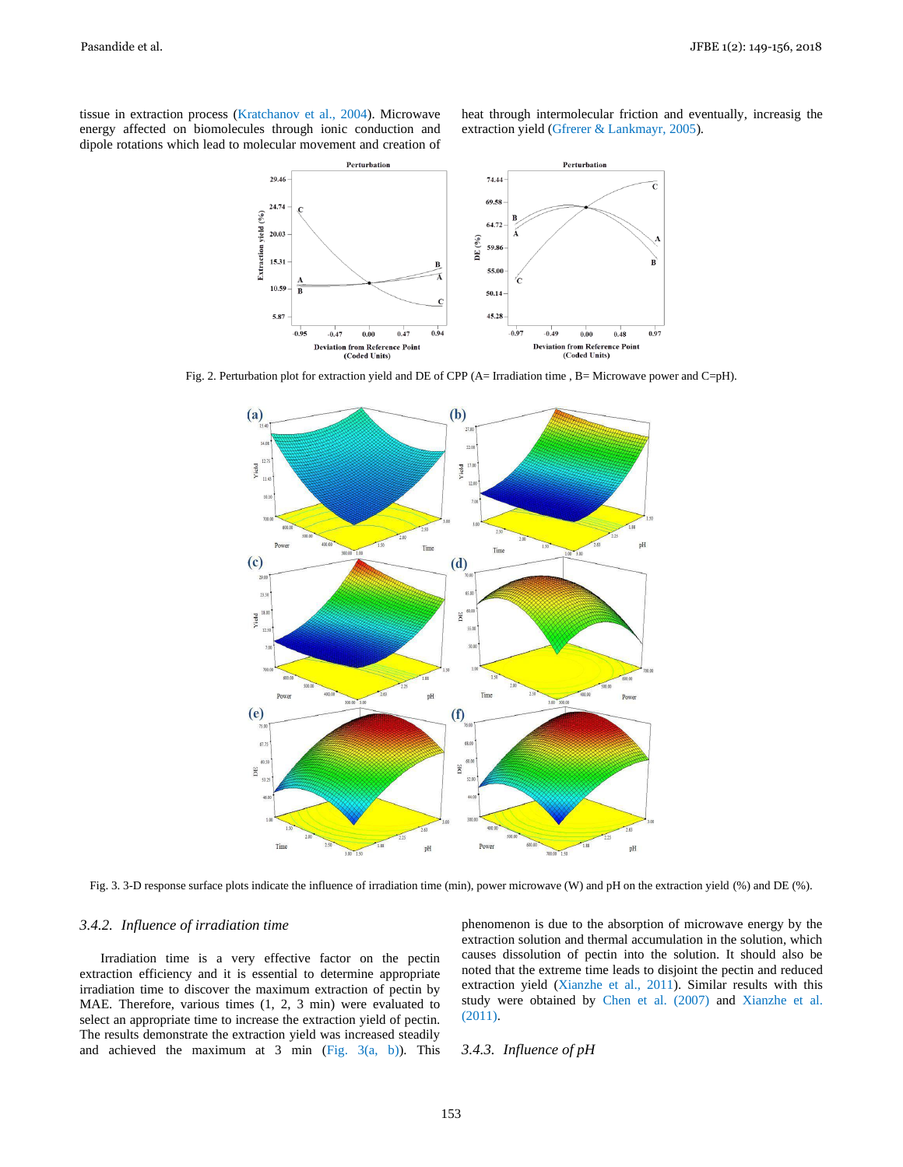tissue in extraction process (Kratchanov et al., 2004). Microwave energy affected on biomolecules through ionic conduction and dipole rotations which lead to molecular movement and creation of heat through intermolecular friction and eventually, increasig the extraction yield (Gfrerer & Lankmayr, 2005).



Fig. 2. Perturbation plot for extraction yield and DE of CPP (A= Irradiation time , B= Microwave power and C=pH).



Fig. 3. 3-D response surface plots indicate the influence of irradiation time (min), power microwave (W) and pH on the extraction yield (%) and DE (%).

# *3.4.2. Influence of irradiation time*

Irradiation time is a very effective factor on the pectin extraction efficiency and it is essential to determine appropriate irradiation time to discover the maximum extraction of pectin by MAE. Therefore, various times (1, 2, 3 min) were evaluated to select an appropriate time to increase the extraction yield of pectin. The results demonstrate the extraction yield was increased steadily and achieved the maximum at  $3$  min (Fig.  $3(a, b)$ ). This phenomenon is due to the absorption of microwave energy by the extraction solution and thermal accumulation in the solution, which causes dissolution of pectin into the solution. It should also be noted that the extreme time leads to disjoint the pectin and reduced extraction yield (Xianzhe et al., 2011). Similar results with this study were obtained by Chen et al. (2007) and Xianzhe et al. (2011).

### *3.4.3. Influence of pH*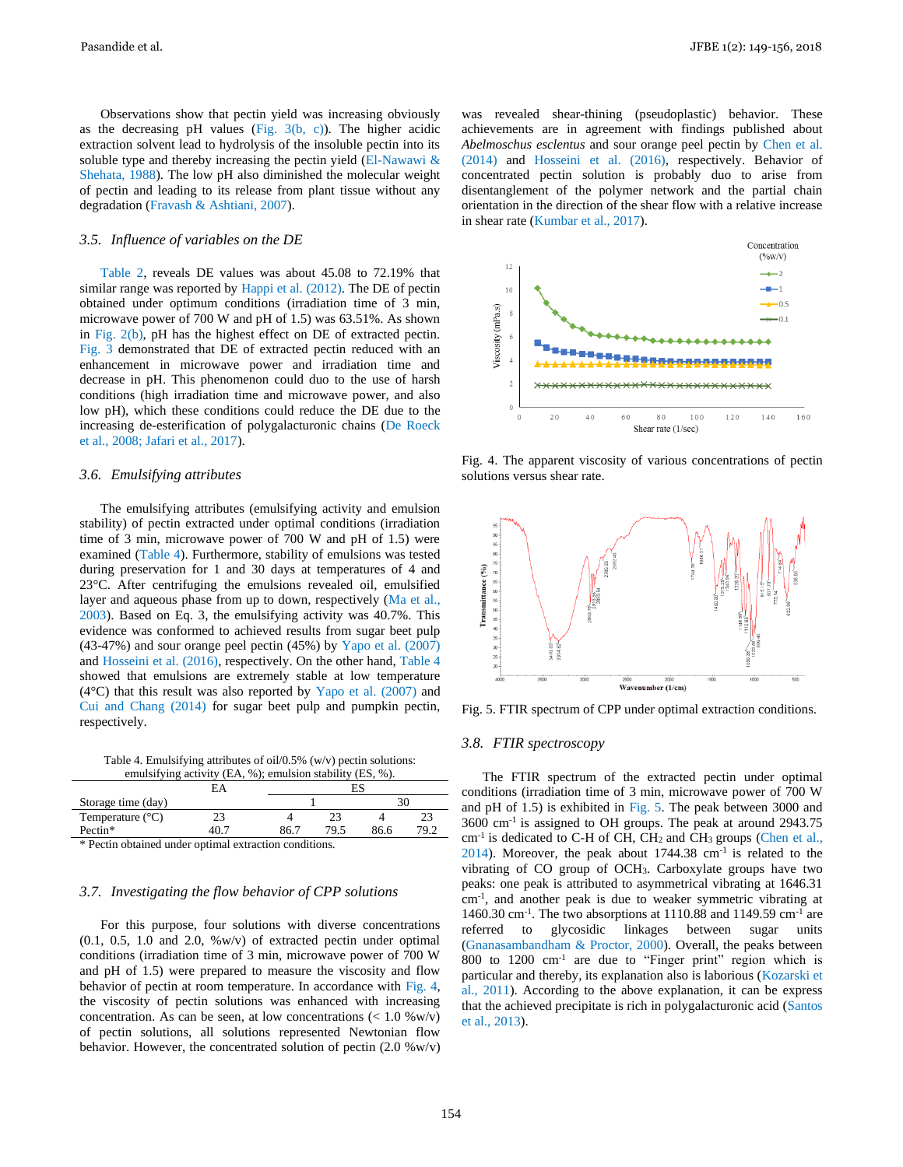Pasandide et al. JFBE 1(2): 149-156, 2018

Observations show that pectin yield was increasing obviously as the decreasing pH values (Fig.  $3(b, c)$ ). The higher acidic extraction solvent lead to hydrolysis of the insoluble pectin into its soluble type and thereby increasing the pectin yield  $(El$ -Nawawi  $\&$ Shehata, 1988). The low pH also diminished the molecular weight of pectin and leading to its release from plant tissue without any degradation (Fravash & Ashtiani, 2007).

### *3.5. Influence of variables on the DE*

Table 2, reveals DE values was about 45.08 to 72.19% that similar range was reported by Happi et al. (2012). The DE of pectin obtained under optimum conditions (irradiation time of 3 min, microwave power of 700 W and pH of 1.5) was 63.51%. As shown in Fig. 2(b), pH has the highest effect on DE of extracted pectin. Fig. 3 demonstrated that DE of extracted pectin reduced with an enhancement in microwave power and irradiation time and decrease in pH. This phenomenon could duo to the use of harsh conditions (high irradiation time and microwave power, and also low pH), which these conditions could reduce the DE due to the increasing de-esterification of polygalacturonic chains (De Roeck et al., 2008; Jafari et al., 2017).

### *3.6. Emulsifying attributes*

The emulsifying attributes (emulsifying activity and emulsion stability) of pectin extracted under optimal conditions (irradiation time of 3 min, microwave power of 700 W and pH of 1.5) were examined (Table 4). Furthermore, stability of emulsions was tested during preservation for 1 and 30 days at temperatures of 4 and 23°C. After centrifuging the emulsions revealed oil, emulsified layer and aqueous phase from up to down, respectively (Ma et al., 2003). Based on Eq. 3, the emulsifying activity was 40.7%. This evidence was conformed to achieved results from sugar beet pulp (43-47%) and sour orange peel pectin (45%) by Yapo et al. (2007) and Hosseini et al. (2016), respectively. On the other hand, Table 4 showed that emulsions are extremely stable at low temperature  $(4^{\circ}C)$  that this result was also reported by Yapo et al. (2007) and Cui and Chang (2014) for sugar beet pulp and pumpkin pectin, respectively.

Table 4. Emulsifying attributes of oil/0.5% (w/v) pectin solutions: emulsifying activity (EA, %); emulsion stability (ES, %).

| condition of activity (E/A, 707, condition stability (EQ, 707. |    |       |      |      |                 |  |
|----------------------------------------------------------------|----|-------|------|------|-----------------|--|
|                                                                | ΕA |       | ES   |      |                 |  |
| Storage time (day)                                             |    |       |      |      |                 |  |
| Temperature $(^{\circ}C)$                                      |    |       |      |      | 23              |  |
| Pectin*                                                        |    | 86.7  | 70 S | 86.6 | 10 <sup>o</sup> |  |
| .<br>___                                                       | .  | $  -$ |      |      |                 |  |

\* Pectin obtained under optimal extraction conditions.

# *3.7. Investigating the flow behavior of CPP solutions*

For this purpose, four solutions with diverse concentrations  $(0.1, 0.5, 1.0, 2.0, %$  w/v) of extracted pectin under optimal conditions (irradiation time of 3 min, microwave power of 700 W and pH of 1.5) were prepared to measure the viscosity and flow behavior of pectin at room temperature. In accordance with Fig. 4, the viscosity of pectin solutions was enhanced with increasing concentration. As can be seen, at low concentrations  $\left($  < 1.0 %w/v) of pectin solutions, all solutions represented Newtonian flow behavior. However, the concentrated solution of pectin  $(2.0 \% w/v)$  was revealed shear-thining (pseudoplastic) behavior. These achievements are in agreement with findings published about *Abelmoschus esclentus* and sour orange peel pectin by Chen et al. (2014) and Hosseini et al. (2016), respectively. Behavior of concentrated pectin solution is probably duo to arise from disentanglement of the polymer network and the partial chain orientation in the direction of the shear flow with a relative increase in shear rate (Kumbar et al., 2017).



Fig. 4. The apparent viscosity of various concentrations of pectin solutions versus shear rate.



Fig. 5. FTIR spectrum of CPP under optimal extraction conditions.

# *3.8. FTIR spectroscopy*

The FTIR spectrum of the extracted pectin under optimal conditions (irradiation time of 3 min, microwave power of 700 W and pH of 1.5) is exhibited in Fig. 5. The peak between 3000 and 3600 cm-1 is assigned to OH groups. The peak at around 2943.75 cm<sup>-1</sup> is dedicated to C-H of CH, CH<sub>2</sub> and CH<sub>3</sub> groups (Chen et al.,  $2014$ ). Moreover, the peak about 1744.38 cm<sup>-1</sup> is related to the vibrating of CO group of OCH3. Carboxylate groups have two peaks: one peak is attributed to asymmetrical vibrating at 1646.31 cm-1 , and another peak is due to weaker symmetric vibrating at 1460.30 cm-1 . The two absorptions at 1110.88 and 1149.59 cm-1 are referred to glycosidic linkages between sugar units (Gnanasambandham & Proctor, 2000). Overall, the peaks between 800 to 1200 cm-1 are due to "Finger print" region which is particular and thereby, its explanation also is laborious (Kozarski et al., 2011). According to the above explanation, it can be express that the achieved precipitate is rich in polygalacturonic acid (Santos et al., 2013).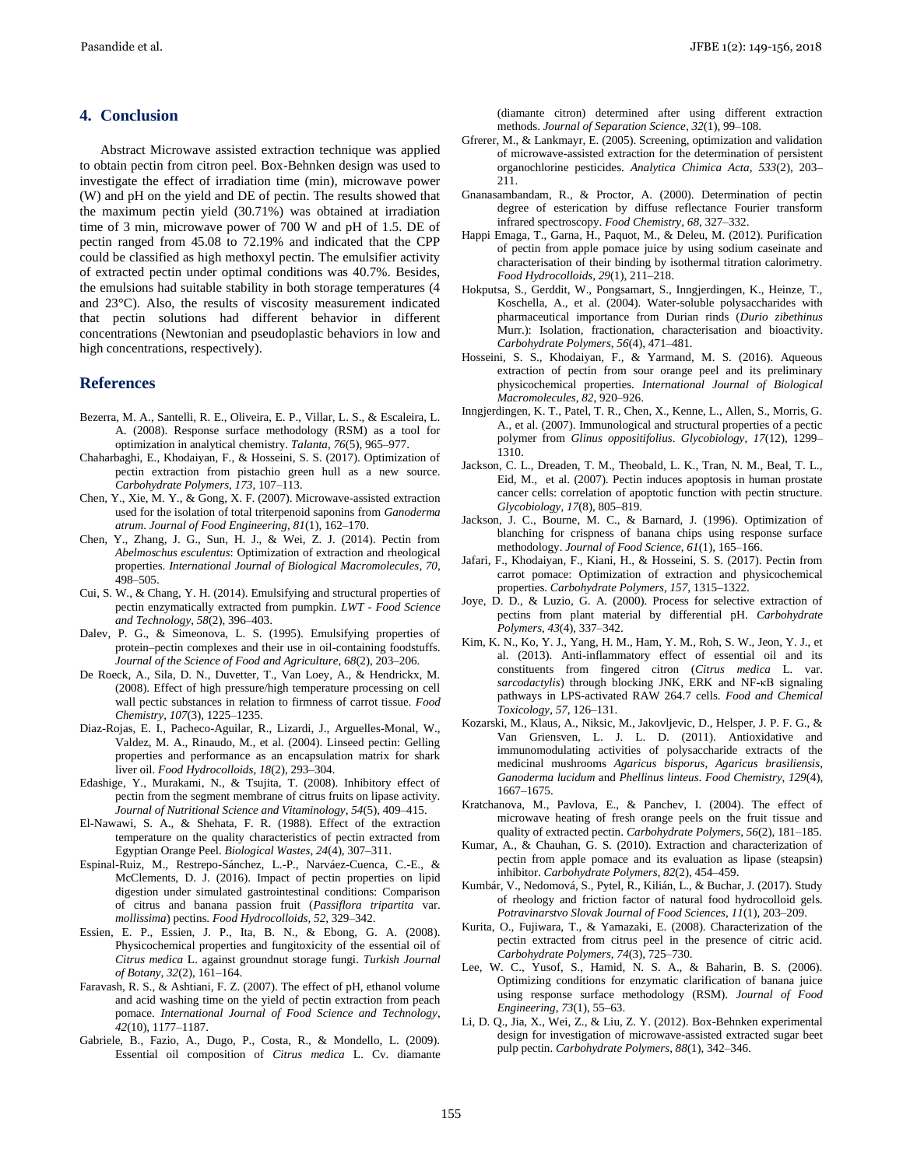# **4. Conclusion**

Abstract Microwave assisted extraction technique was applied to obtain pectin from citron peel. Box-Behnken design was used to investigate the effect of irradiation time (min), microwave power (W) and pH on the yield and DE of pectin. The results showed that the maximum pectin yield (30.71%) was obtained at irradiation time of 3 min, microwave power of 700 W and pH of 1.5. DE of pectin ranged from 45.08 to 72.19% and indicated that the CPP could be classified as high methoxyl pectin. The emulsifier activity of extracted pectin under optimal conditions was 40.7%. Besides, the emulsions had suitable stability in both storage temperatures (4 and 23°C). Also, the results of viscosity measurement indicated that pectin solutions had different behavior in different concentrations (Newtonian and pseudoplastic behaviors in low and high concentrations, respectively).

### **References**

- Bezerra, M. A., Santelli, R. E., Oliveira, E. P., Villar, L. S., & Escaleira, L. A. (2008). Response surface methodology (RSM) as a tool for optimization in analytical chemistry. *Talanta*, *76*(5), 965–977.
- Chaharbaghi, E., Khodaiyan, F., & Hosseini, S. S. (2017). Optimization of pectin extraction from pistachio green hull as a new source. *Carbohydrate Polymers*, *173*, 107–113.
- Chen, Y., Xie, M. Y., & Gong, X. F. (2007). Microwave-assisted extraction used for the isolation of total triterpenoid saponins from *Ganoderma atrum*. *Journal of Food Engineering*, *81*(1), 162–170.
- Chen, Y., Zhang, J. G., Sun, H. J., & Wei, Z. J. (2014). Pectin from *Abelmoschus esculentus*: Optimization of extraction and rheological properties. *International Journal of Biological Macromolecules*, *70*, 498–505.
- Cui, S. W., & Chang, Y. H. (2014). Emulsifying and structural properties of pectin enzymatically extracted from pumpkin. *LWT - Food Science and Technology*, *58*(2), 396–403.
- Dalev, P. G., & Simeonova, L. S. (1995). Emulsifying properties of protein–pectin complexes and their use in oil-containing foodstuffs. *Journal of the Science of Food and Agriculture*, *68*(2), 203–206.
- De Roeck, A., Sila, D. N., Duvetter, T., Van Loey, A., & Hendrickx, M. (2008). Effect of high pressure/high temperature processing on cell wall pectic substances in relation to firmness of carrot tissue. *Food Chemistry*, *107*(3), 1225–1235.
- Diaz-Rojas, E. I., Pacheco-Aguilar, R., Lizardi, J., Arguelles-Monal, W., Valdez, M. A., Rinaudo, M., et al. (2004). Linseed pectin: Gelling properties and performance as an encapsulation matrix for shark liver oil. *Food Hydrocolloids*, *18*(2), 293–304.
- Edashige, Y., Murakami, N., & Tsujita, T. (2008). Inhibitory effect of pectin from the segment membrane of citrus fruits on lipase activity. *Journal of Nutritional Science and Vitaminology*, *54*(5), 409–415.
- El-Nawawi, S. A., & Shehata, F. R. (1988). Effect of the extraction temperature on the quality characteristics of pectin extracted from Egyptian Orange Peel. *Biological Wastes*, *24*(4), 307–311.
- Espinal-Ruiz, M., Restrepo-Sánchez, L.-P., Narváez-Cuenca, C.-E., & McClements, D. J. (2016). Impact of pectin properties on lipid digestion under simulated gastrointestinal conditions: Comparison of citrus and banana passion fruit (*Passiflora tripartita* var. *mollissima*) pectins. *Food Hydrocolloids*, *52*, 329–342.
- Essien, E. P., Essien, J. P., Ita, B. N., & Ebong, G. A. (2008). Physicochemical properties and fungitoxicity of the essential oil of *Citrus medica* L. against groundnut storage fungi. *Turkish Journal of Botany*, *32*(2), 161–164.
- Faravash, R. S., & Ashtiani, F. Z. (2007). The effect of pH, ethanol volume and acid washing time on the yield of pectin extraction from peach pomace. *International Journal of Food Science and Technology*, *42*(10), 1177–1187.
- Gabriele, B., Fazio, A., Dugo, P., Costa, R., & Mondello, L. (2009). Essential oil composition of *Citrus medica* L. Cv. diamante

(diamante citron) determined after using different extraction methods. *Journal of Separation Science*, *32*(1), 99–108.

- Gfrerer, M., & Lankmayr, E. (2005). Screening, optimization and validation of microwave-assisted extraction for the determination of persistent organochlorine pesticides. *Analytica Chimica Acta*, *533*(2), 203– 211.
- Gnanasambandam, R., & Proctor, A. (2000). Determination of pectin degree of esterication by diffuse reflectance Fourier transform infrared spectroscopy. *Food Chemistry*, *68*, 327–332.
- Happi Emaga, T., Garna, H., Paquot, M., & Deleu, M. (2012). Purification of pectin from apple pomace juice by using sodium caseinate and characterisation of their binding by isothermal titration calorimetry. *Food Hydrocolloids*, *29*(1), 211–218.
- Hokputsa, S., Gerddit, W., Pongsamart, S., Inngjerdingen, K., Heinze, T., Koschella, A., et al. (2004). Water-soluble polysaccharides with pharmaceutical importance from Durian rinds (*Durio zibethinus* Murr.): Isolation, fractionation, characterisation and bioactivity. *Carbohydrate Polymers*, *56*(4), 471–481.
- Hosseini, S. S., Khodaiyan, F., & Yarmand, M. S. (2016). Aqueous extraction of pectin from sour orange peel and its preliminary physicochemical properties. *International Journal of Biological Macromolecules*, *82*, 920–926.
- Inngjerdingen, K. T., Patel, T. R., Chen, X., Kenne, L., Allen, S., Morris, G. A., et al. (2007). Immunological and structural properties of a pectic polymer from *Glinus oppositifolius*. *Glycobiology*, *17*(12), 1299– 1310.
- Jackson, C. L., Dreaden, T. M., Theobald, L. K., Tran, N. M., Beal, T. L., Eid, M., et al. (2007). Pectin induces apoptosis in human prostate cancer cells: correlation of apoptotic function with pectin structure. *Glycobiology*, *17*(8), 805–819.
- Jackson, J. C., Bourne, M. C., & Barnard, J. (1996). Optimization of blanching for crispness of banana chips using response surface methodology. *Journal of Food Science*, *61*(1), 165–166.
- Jafari, F., Khodaiyan, F., Kiani, H., & Hosseini, S. S. (2017). Pectin from carrot pomace: Optimization of extraction and physicochemical properties. *Carbohydrate Polymers*, *157*, 1315–1322.
- Joye, D. D., & Luzio, G. A. (2000). Process for selective extraction of pectins from plant material by differential pH. *Carbohydrate Polymers*, *43*(4), 337–342.
- Kim, K. N., Ko, Y. J., Yang, H. M., Ham, Y. M., Roh, S. W., Jeon, Y. J., et al. (2013). Anti-inflammatory effect of essential oil and its constituents from fingered citron (*Citrus medica* L. var. *sarcodactylis*) through blocking JNK, ERK and NF-κB signaling pathways in LPS-activated RAW 264.7 cells. *Food and Chemical Toxicology*, *57*, 126–131.
- Kozarski, M., Klaus, A., Niksic, M., Jakovljevic, D., Helsper, J. P. F. G., & Van Griensven, L. J. L. D. (2011). Antioxidative and immunomodulating activities of polysaccharide extracts of the medicinal mushrooms *Agaricus bisporus*, *Agaricus brasiliensis*, *Ganoderma lucidum* and *Phellinus linteus*. *Food Chemistry*, *129*(4), 1667–1675.
- Kratchanova, M., Pavlova, E., & Panchev, I. (2004). The effect of microwave heating of fresh orange peels on the fruit tissue and quality of extracted pectin. *Carbohydrate Polymers*, *56*(2), 181–185.
- Kumar, A., & Chauhan, G. S. (2010). Extraction and characterization of pectin from apple pomace and its evaluation as lipase (steapsin) inhibitor. *Carbohydrate Polymers*, *82*(2), 454–459.
- Kumbár, V., Nedomová, S., Pytel, R., Kilián, L., & Buchar, J. (2017). Study of rheology and friction factor of natural food hydrocolloid gels. *Potravinarstvo Slovak Journal of Food Sciences*, *11*(1), 203–209.
- Kurita, O., Fujiwara, T., & Yamazaki, E. (2008). Characterization of the pectin extracted from citrus peel in the presence of citric acid. *Carbohydrate Polymers*, *74*(3), 725–730.
- Lee, W. C., Yusof, S., Hamid, N. S. A., & Baharin, B. S. (2006). Optimizing conditions for enzymatic clarification of banana juice using response surface methodology (RSM). *Journal of Food Engineering*, *73*(1), 55–63.
- Li, D. Q., Jia, X., Wei, Z., & Liu, Z. Y. (2012). Box-Behnken experimental design for investigation of microwave-assisted extracted sugar beet pulp pectin. *Carbohydrate Polymers*, *88*(1), 342–346.